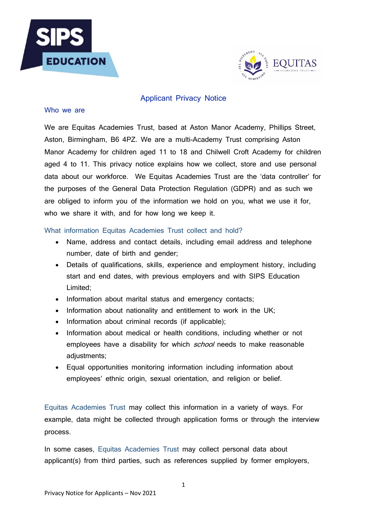



### Applicant Privacy Notice

#### Who we are

We are Equitas Academies Trust, based at Aston Manor Academy, Phillips Street, Aston, Birmingham, B6 4PZ. We are a multi-Academy Trust comprising Aston Manor Academy for children aged 11 to 18 and Chilwell Croft Academy for children aged 4 to 11. This privacy notice explains how we collect, store and use personal data about our workforce. We Equitas Academies Trust are the 'data controller' for the purposes of the General Data Protection Regulation (GDPR) and as such we are obliged to inform you of the information we hold on you, what we use it for, who we share it with, and for how long we keep it.

### What information Equitas Academies Trust collect and hold?

- Name, address and contact details, including email address and telephone number, date of birth and gender;
- Details of qualifications, skills, experience and employment history, including start and end dates, with previous employers and with SIPS Education Limited;
- Information about marital status and emergency contacts;
- Information about nationality and entitlement to work in the UK;
- Information about criminal records (if applicable);
- Information about medical or health conditions, including whether or not employees have a disability for which *school* needs to make reasonable adjustments;
- Equal opportunities monitoring information including information about employees' ethnic origin, sexual orientation, and religion or belief.

Equitas Academies Trust may collect this information in a variety of ways. For example, data might be collected through application forms or through the interview process.

In some cases, Equitas Academies Trust may collect personal data about applicant(s) from third parties, such as references supplied by former employers,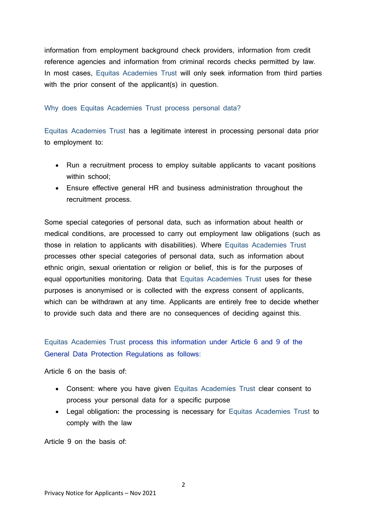information from employment background check providers, information from credit reference agencies and information from criminal records checks permitted by law. In most cases, Equitas Academies Trust will only seek information from third parties with the prior consent of the applicant(s) in question.

#### Why does Equitas Academies Trust process personal data?

Equitas Academies Trust has a legitimate interest in processing personal data prior to employment to:

- Run a recruitment process to employ suitable applicants to vacant positions within school:
- Ensure effective general HR and business administration throughout the recruitment process.

Some special categories of personal data, such as information about health or medical conditions, are processed to carry out employment law obligations (such as those in relation to applicants with disabilities). Where Equitas Academies Trust processes other special categories of personal data, such as information about ethnic origin, sexual orientation or religion or belief, this is for the purposes of equal opportunities monitoring. Data that Equitas Academies Trust uses for these purposes is anonymised or is collected with the express consent of applicants, which can be withdrawn at any time. Applicants are entirely free to decide whether to provide such data and there are no consequences of deciding against this.

Equitas Academies Trust process this information under Article 6 and 9 of the General Data Protection Regulations as follows:

Article 6 on the basis of:

- Consent: where you have given Equitas Academies Trust clear consent to process your personal data for a specific purpose
- Legal obligation**:** the processing is necessary for Equitas Academies Trust to comply with the law

Article 9 on the basis of: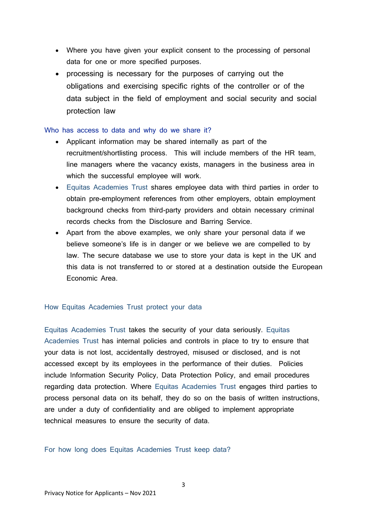- Where you have given your explicit consent to the processing of personal data for one or more specified purposes.
- processing is necessary for the purposes of carrying out the obligations and exercising specific rights of the controller or of the data subject in the field of employment and social security and social protection law

#### Who has access to data and why do we share it?

- Applicant information may be shared internally as part of the recruitment/shortlisting process. This will include members of the HR team, line managers where the vacancy exists, managers in the business area in which the successful employee will work.
- Equitas Academies Trust shares employee data with third parties in order to obtain pre-employment references from other employers, obtain employment background checks from third-party providers and obtain necessary criminal records checks from the Disclosure and Barring Service.
- Apart from the above examples, we only share your personal data if we believe someone's life is in danger or we believe we are compelled to by law. The secure database we use to store your data is kept in the UK and this data is not transferred to or stored at a destination outside the European Economic Area.

## How Equitas Academies Trust protect your data

Equitas Academies Trust takes the security of your data seriously. Equitas Academies Trust has internal policies and controls in place to try to ensure that your data is not lost, accidentally destroyed, misused or disclosed, and is not accessed except by its employees in the performance of their duties. Policies include Information Security Policy, Data Protection Policy, and email procedures regarding data protection. Where Equitas Academies Trust engages third parties to process personal data on its behalf, they do so on the basis of written instructions, are under a duty of confidentiality and are obliged to implement appropriate technical measures to ensure the security of data.

### For how long does Equitas Academies Trust keep data?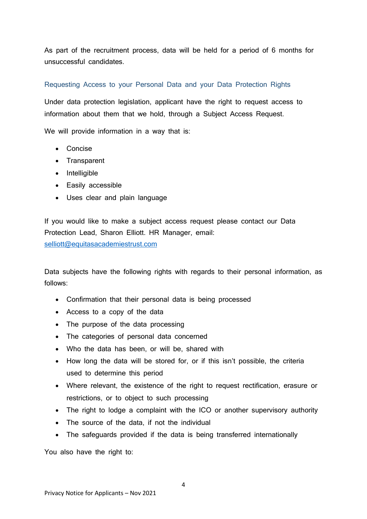As part of the recruitment process, data will be held for a period of 6 months for unsuccessful candidates.

# Requesting Access to your Personal Data and your Data Protection Rights

Under data protection legislation, applicant have the right to request access to information about them that we hold, through a Subject Access Request.

We will provide information in a way that is:

- Concise
- Transparent
- Intelligible
- Easily accessible
- Uses clear and plain language

If you would like to make a subject access request please contact our Data Protection Lead, Sharon Elliott. HR Manager, email: [selliott@equitasacademiestrust.com](mailto:selliott@equitasacademiestrust.com)

Data subjects have the following rights with regards to their personal information, as follows:

- Confirmation that their personal data is being processed
- Access to a copy of the data
- The purpose of the data processing
- The categories of personal data concerned
- Who the data has been, or will be, shared with
- How long the data will be stored for, or if this isn't possible, the criteria used to determine this period
- Where relevant, the existence of the right to request rectification, erasure or restrictions, or to object to such processing
- The right to lodge a complaint with the ICO or another supervisory authority
- The source of the data, if not the individual
- The safeguards provided if the data is being transferred internationally

You also have the right to: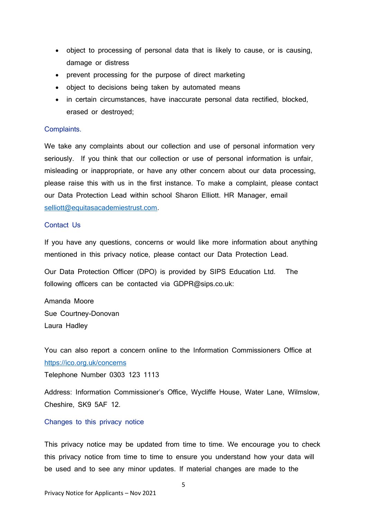- object to processing of personal data that is likely to cause, or is causing, damage or distress
- prevent processing for the purpose of direct marketing
- object to decisions being taken by automated means
- in certain circumstances, have inaccurate personal data rectified, blocked, erased or destroyed;

## Complaints.

We take any complaints about our collection and use of personal information very seriously. If you think that our collection or use of personal information is unfair, misleading or inappropriate, or have any other concern about our data processing, please raise this with us in the first instance. To make a complaint, please contact our Data Protection Lead within school Sharon Elliott. HR Manager, email [selliott@equitasacademiestrust.com.](mailto:selliott@equitasacademiestrust.com)

# Contact Us

If you have any questions, concerns or would like more information about anything mentioned in this privacy notice, please contact our Data Protection Lead.

Our Data Protection Officer (DPO) is provided by SIPS Education Ltd. The following officers can be contacted via GDPR@sips.co.uk:

Amanda Moore Sue Courtney-Donovan Laura Hadley

You can also report a concern online to the Information Commissioners Office at <https://ico.org.uk/concerns>

Telephone Number 0303 123 1113

Address: Information Commissioner's Office, Wycliffe House, Water Lane, Wilmslow, Cheshire, SK9 5AF 12.

### Changes to this privacy notice

This privacy notice may be updated from time to time. We encourage you to check this privacy notice from time to time to ensure you understand how your data will be used and to see any minor updates. If material changes are made to the